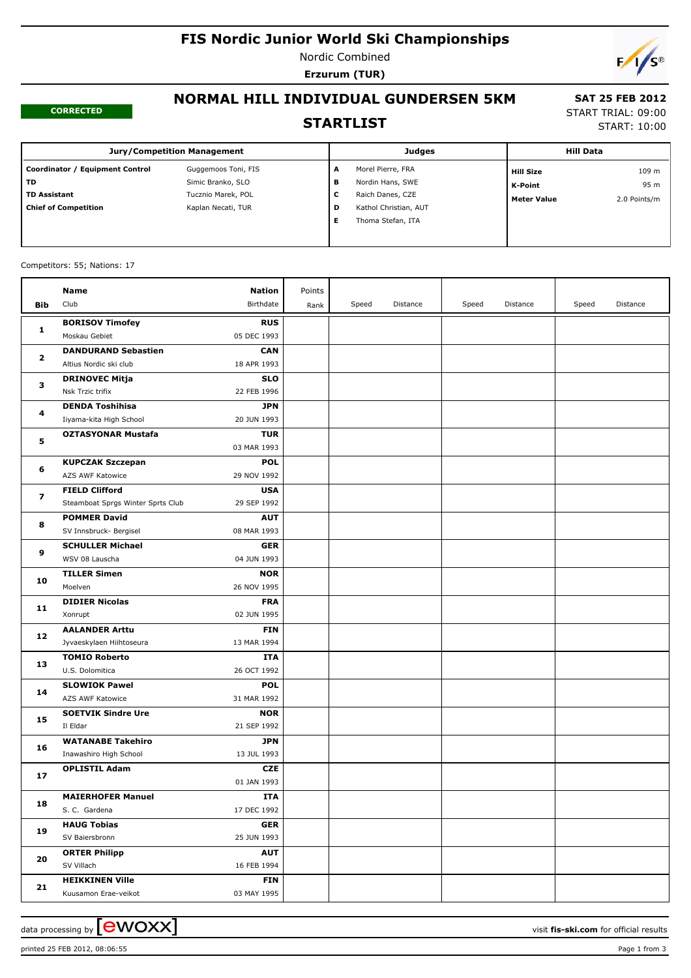# **FIS Nordic Junior World Ski Championships**

Nordic Combined **Erzurum (TUR)**



#### **CORRECTED**

# **NORMAL HILL INDIVIDUAL GUNDERSEN 5KM STARTLIST**

### **SAT 25 FEB 2012** START TRIAL: 09:00

START: 10:00

#### **Jury/Competition Management Coordinator / Equipment Control Guggemoos Toni, FIS TD** Simic Branko, SLO **TD Assistant TUCZNIO Marek, POL Chief of Competition** Kaplan Necati, TUR **Judges A** Morel Pierre, FRA **B** Nordin Hans, SWE **C** Raich Danes, CZE **D** Kathol Christian, AUT **E** Thoma Stefan, ITA **Hill Data K-Point** 95 m **Hill Size** 109 m **Meter Value** 2.0 Points/m

#### Competitors: 55; Nations: 17

|              | <b>Name</b>                             | <b>Nation</b> | Points |       |          |       |          |       |          |
|--------------|-----------------------------------------|---------------|--------|-------|----------|-------|----------|-------|----------|
| Bib          | Club                                    | Birthdate     | Rank   | Speed | Distance | Speed | Distance | Speed | Distance |
|              |                                         | <b>RUS</b>    |        |       |          |       |          |       |          |
| 1            | <b>BORISOV Timofey</b><br>Moskau Gebiet | 05 DEC 1993   |        |       |          |       |          |       |          |
|              | <b>DANDURAND Sebastien</b>              | <b>CAN</b>    |        |       |          |       |          |       |          |
| $\mathbf{2}$ | Altius Nordic ski club                  | 18 APR 1993   |        |       |          |       |          |       |          |
|              | <b>DRINOVEC Mitja</b>                   | <b>SLO</b>    |        |       |          |       |          |       |          |
| з            | Nsk Trzic trifix                        | 22 FEB 1996   |        |       |          |       |          |       |          |
|              | <b>DENDA Toshihisa</b>                  | <b>JPN</b>    |        |       |          |       |          |       |          |
| 4<br>5       | Iiyama-kita High School                 | 20 JUN 1993   |        |       |          |       |          |       |          |
|              | <b>OZTASYONAR Mustafa</b>               | <b>TUR</b>    |        |       |          |       |          |       |          |
|              |                                         | 03 MAR 1993   |        |       |          |       |          |       |          |
| 6            | <b>KUPCZAK Szczepan</b>                 | <b>POL</b>    |        |       |          |       |          |       |          |
|              | AZS AWF Katowice                        | 29 NOV 1992   |        |       |          |       |          |       |          |
|              | <b>FIELD Clifford</b>                   | <b>USA</b>    |        |       |          |       |          |       |          |
| 7            | Steamboat Sprgs Winter Sprts Club       | 29 SEP 1992   |        |       |          |       |          |       |          |
|              | <b>POMMER David</b>                     | <b>AUT</b>    |        |       |          |       |          |       |          |
| 8            | SV Innsbruck- Bergisel                  | 08 MAR 1993   |        |       |          |       |          |       |          |
| 9            | <b>SCHULLER Michael</b>                 | <b>GER</b>    |        |       |          |       |          |       |          |
|              | WSV 08 Lauscha                          | 04 JUN 1993   |        |       |          |       |          |       |          |
| 10           | <b>TILLER Simen</b>                     | <b>NOR</b>    |        |       |          |       |          |       |          |
|              | Moelven                                 | 26 NOV 1995   |        |       |          |       |          |       |          |
| 11           | <b>DIDIER Nicolas</b>                   | <b>FRA</b>    |        |       |          |       |          |       |          |
|              | Xonrupt                                 | 02 JUN 1995   |        |       |          |       |          |       |          |
|              | <b>AALANDER Arttu</b>                   | <b>FIN</b>    |        |       |          |       |          |       |          |
| 12           | Jyvaeskylaen Hiihtoseura                | 13 MAR 1994   |        |       |          |       |          |       |          |
|              | <b>TOMIO Roberto</b>                    | ITA           |        |       |          |       |          |       |          |
| 13           | U.S. Dolomitica                         | 26 OCT 1992   |        |       |          |       |          |       |          |
| 14           | <b>SLOWIOK Pawel</b>                    | <b>POL</b>    |        |       |          |       |          |       |          |
|              | AZS AWF Katowice                        | 31 MAR 1992   |        |       |          |       |          |       |          |
| 15           | <b>SOETVIK Sindre Ure</b>               | <b>NOR</b>    |        |       |          |       |          |       |          |
|              | Il Eldar                                | 21 SEP 1992   |        |       |          |       |          |       |          |
| 16           | <b>WATANABE Takehiro</b>                | JPN           |        |       |          |       |          |       |          |
|              | Inawashiro High School                  | 13 JUL 1993   |        |       |          |       |          |       |          |
| 17           | <b>OPLISTIL Adam</b>                    | <b>CZE</b>    |        |       |          |       |          |       |          |
|              |                                         | 01 JAN 1993   |        |       |          |       |          |       |          |
| 18           | <b>MAIERHOFER Manuel</b>                | <b>ITA</b>    |        |       |          |       |          |       |          |
|              | S. C. Gardena                           | 17 DEC 1992   |        |       |          |       |          |       |          |
| 19           | <b>HAUG Tobias</b>                      | <b>GER</b>    |        |       |          |       |          |       |          |
|              | SV Baiersbronn                          | 25 JUN 1993   |        |       |          |       |          |       |          |
| 20           | <b>ORTER Philipp</b>                    | <b>AUT</b>    |        |       |          |       |          |       |          |
|              | SV Villach                              | 16 FEB 1994   |        |       |          |       |          |       |          |
| 21           | <b>HEIKKINEN Ville</b>                  | <b>FIN</b>    |        |       |          |       |          |       |          |
|              | Kuusamon Erae-veikot                    | 03 MAY 1995   |        |       |          |       |          |       |          |

printed 25 FEB 2012, 08:06:55 Page 1 from 3

data processing by  $\boxed{\text{ewOX}}$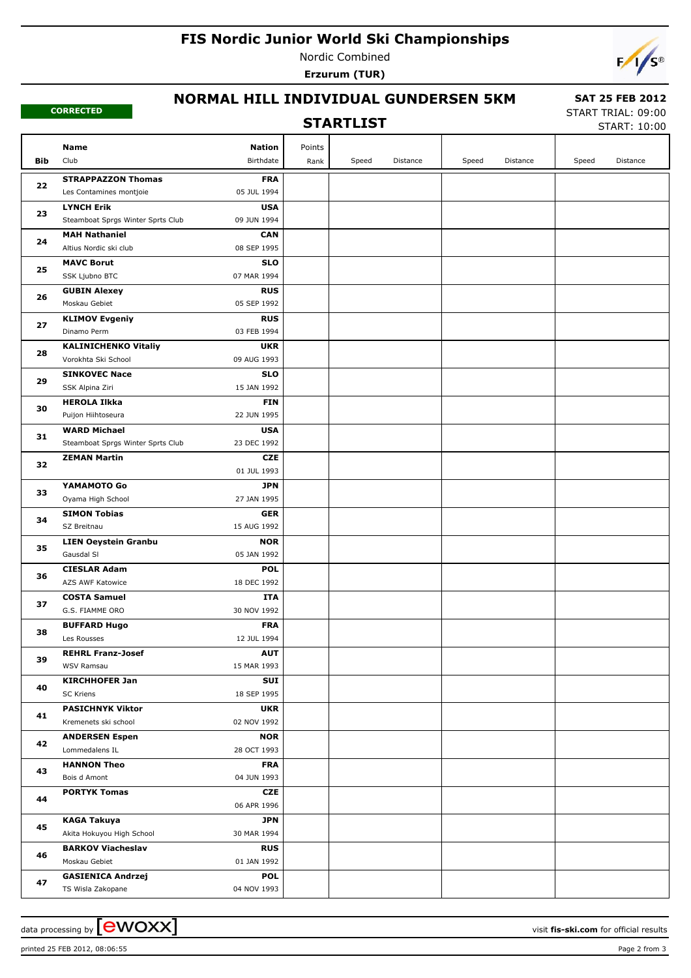# **FIS Nordic Junior World Ski Championships**

Nordic Combined **Erzurum (TUR)**



#### **CORRECTED**

## **NORMAL HILL INDIVIDUAL GUNDERSEN 5KM**

### **STARTLIST**

 **SAT 25 FEB 2012** START TRIAL: 09:00

START: 10:00

|          | Name                                      | <b>Nation</b>             | Points |       |          |       |          |       |          |
|----------|-------------------------------------------|---------------------------|--------|-------|----------|-------|----------|-------|----------|
| Bib      | Club                                      | Birthdate                 | Rank   | Speed | Distance | Speed | Distance | Speed | Distance |
|          | <b>STRAPPAZZON Thomas</b>                 | <b>FRA</b>                |        |       |          |       |          |       |          |
| 22       | Les Contamines montjoie                   | 05 JUL 1994               |        |       |          |       |          |       |          |
| 23       | <b>LYNCH Erik</b>                         | <b>USA</b>                |        |       |          |       |          |       |          |
|          | Steamboat Sprgs Winter Sprts Club         | 09 JUN 1994               |        |       |          |       |          |       |          |
|          | <b>MAH Nathaniel</b>                      | <b>CAN</b>                |        |       |          |       |          |       |          |
| 24       | Altius Nordic ski club                    | 08 SEP 1995               |        |       |          |       |          |       |          |
|          | <b>MAVC Borut</b>                         | <b>SLO</b>                |        |       |          |       |          |       |          |
| 25       | SSK Ljubno BTC                            | 07 MAR 1994               |        |       |          |       |          |       |          |
| 26       | <b>GUBIN Alexey</b>                       | <b>RUS</b>                |        |       |          |       |          |       |          |
|          | Moskau Gebiet                             | 05 SEP 1992               |        |       |          |       |          |       |          |
| 27       | <b>KLIMOV Evgeniy</b>                     | <b>RUS</b>                |        |       |          |       |          |       |          |
|          | Dinamo Perm                               | 03 FEB 1994               |        |       |          |       |          |       |          |
| 28       | <b>KALINICHENKO Vitaliy</b>               | <b>UKR</b>                |        |       |          |       |          |       |          |
|          | Vorokhta Ski School                       | 09 AUG 1993               |        |       |          |       |          |       |          |
| 29       | <b>SINKOVEC Nace</b>                      | <b>SLO</b>                |        |       |          |       |          |       |          |
|          | SSK Alpina Ziri                           | 15 JAN 1992               |        |       |          |       |          |       |          |
| 30       | <b>HEROLA Ilkka</b><br>Puijon Hiihtoseura | <b>FIN</b><br>22 JUN 1995 |        |       |          |       |          |       |          |
|          | <b>WARD Michael</b>                       | <b>USA</b>                |        |       |          |       |          |       |          |
| 31       | Steamboat Sprgs Winter Sprts Club         | 23 DEC 1992               |        |       |          |       |          |       |          |
|          | <b>ZEMAN Martin</b>                       | CZE                       |        |       |          |       |          |       |          |
| 32<br>33 |                                           | 01 JUL 1993               |        |       |          |       |          |       |          |
|          | YAMAMOTO Go                               | JPN                       |        |       |          |       |          |       |          |
|          | Oyama High School                         | 27 JAN 1995               |        |       |          |       |          |       |          |
| 34       | <b>SIMON Tobias</b>                       | <b>GER</b>                |        |       |          |       |          |       |          |
|          | SZ Breitnau                               | 15 AUG 1992               |        |       |          |       |          |       |          |
|          | <b>LIEN Oeystein Granbu</b>               | <b>NOR</b>                |        |       |          |       |          |       |          |
| 35       | Gausdal SI                                | 05 JAN 1992               |        |       |          |       |          |       |          |
| 36       | <b>CIESLAR Adam</b>                       | <b>POL</b>                |        |       |          |       |          |       |          |
|          | AZS AWF Katowice                          | 18 DEC 1992               |        |       |          |       |          |       |          |
| 37       | <b>COSTA Samuel</b>                       | ITA                       |        |       |          |       |          |       |          |
|          | G.S. FIAMME ORO                           | 30 NOV 1992               |        |       |          |       |          |       |          |
| 38       | <b>BUFFARD Hugo</b>                       | <b>FRA</b>                |        |       |          |       |          |       |          |
|          | Les Rousses                               | 12 JUL 1994               |        |       |          |       |          |       |          |
| 39       | <b>REHRL Franz-Josef</b><br>WSV Ramsau    | <b>AUT</b>                |        |       |          |       |          |       |          |
|          | <b>KIRCHHOFER Jan</b>                     | 15 MAR 1993<br>SUI        |        |       |          |       |          |       |          |
| 40       | SC Kriens                                 | 18 SEP 1995               |        |       |          |       |          |       |          |
|          | <b>PASICHNYK Viktor</b>                   | <b>UKR</b>                |        |       |          |       |          |       |          |
| 41       | Kremenets ski school                      | 02 NOV 1992               |        |       |          |       |          |       |          |
|          | <b>ANDERSEN Espen</b>                     | <b>NOR</b>                |        |       |          |       |          |       |          |
| 42       | Lommedalens IL                            | 28 OCT 1993               |        |       |          |       |          |       |          |
|          | <b>HANNON Theo</b>                        | <b>FRA</b>                |        |       |          |       |          |       |          |
| 43       | Bois d Amont                              | 04 JUN 1993               |        |       |          |       |          |       |          |
| 44<br>45 | <b>PORTYK Tomas</b>                       | <b>CZE</b>                |        |       |          |       |          |       |          |
|          |                                           | 06 APR 1996               |        |       |          |       |          |       |          |
|          | <b>KAGA Takuya</b>                        | JPN                       |        |       |          |       |          |       |          |
|          | Akita Hokuyou High School                 | 30 MAR 1994               |        |       |          |       |          |       |          |
| 46       | <b>BARKOV Viacheslav</b>                  | <b>RUS</b>                |        |       |          |       |          |       |          |
|          | Moskau Gebiet                             | 01 JAN 1992               |        |       |          |       |          |       |          |
| 47       | <b>GASIENICA Andrzej</b>                  | <b>POL</b>                |        |       |          |       |          |       |          |
|          | TS Wisla Zakopane                         | 04 NOV 1993               |        |       |          |       |          |       |          |

data processing by **CWOXX**  $\blacksquare$